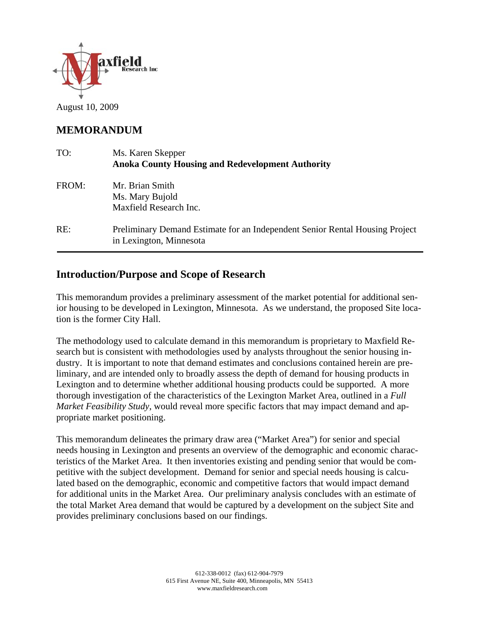

August 10, 2009

# **MEMORANDUM**

| TO:   | Ms. Karen Skepper<br><b>Anoka County Housing and Redevelopment Authority</b>                            |
|-------|---------------------------------------------------------------------------------------------------------|
| FROM: | Mr. Brian Smith<br>Ms. Mary Bujold<br>Maxfield Research Inc.                                            |
| RE:   | Preliminary Demand Estimate for an Independent Senior Rental Housing Project<br>in Lexington, Minnesota |

# **Introduction/Purpose and Scope of Research**

This memorandum provides a preliminary assessment of the market potential for additional senior housing to be developed in Lexington, Minnesota. As we understand, the proposed Site location is the former City Hall.

The methodology used to calculate demand in this memorandum is proprietary to Maxfield Research but is consistent with methodologies used by analysts throughout the senior housing industry. It is important to note that demand estimates and conclusions contained herein are preliminary, and are intended only to broadly assess the depth of demand for housing products in Lexington and to determine whether additional housing products could be supported. A more thorough investigation of the characteristics of the Lexington Market Area, outlined in a *Full Market Feasibility Study*, would reveal more specific factors that may impact demand and appropriate market positioning.

This memorandum delineates the primary draw area ("Market Area") for senior and special needs housing in Lexington and presents an overview of the demographic and economic characteristics of the Market Area. It then inventories existing and pending senior that would be competitive with the subject development. Demand for senior and special needs housing is calculated based on the demographic, economic and competitive factors that would impact demand for additional units in the Market Area. Our preliminary analysis concludes with an estimate of the total Market Area demand that would be captured by a development on the subject Site and provides preliminary conclusions based on our findings.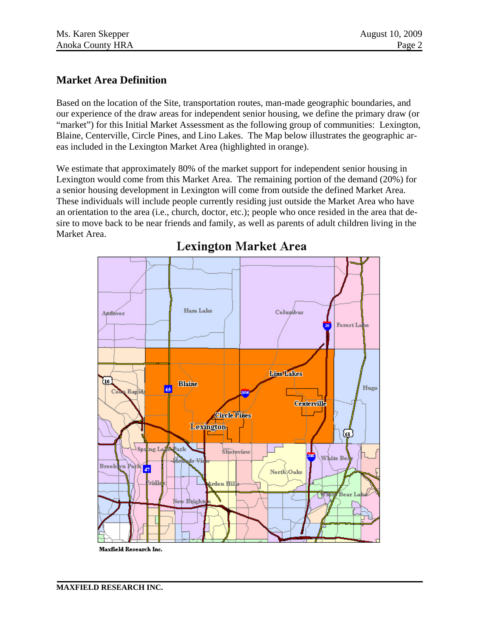### **Market Area Definition**

Based on the location of the Site, transportation routes, man-made geographic boundaries, and our experience of the draw areas for independent senior housing, we define the primary draw (or "market") for this Initial Market Assessment as the following group of communities: Lexington, Blaine, Centerville, Circle Pines, and Lino Lakes. The Map below illustrates the geographic areas included in the Lexington Market Area (highlighted in orange).

We estimate that approximately 80% of the market support for independent senior housing in Lexington would come from this Market Area. The remaining portion of the demand (20%) for a senior housing development in Lexington will come from outside the defined Market Area. These individuals will include people currently residing just outside the Market Area who have an orientation to the area (i.e., church, doctor, etc.); people who once resided in the area that desire to move back to be near friends and family, as well as parents of adult children living in the Market Area.



# **Lexington Market Area**

Maxfield Research Inc.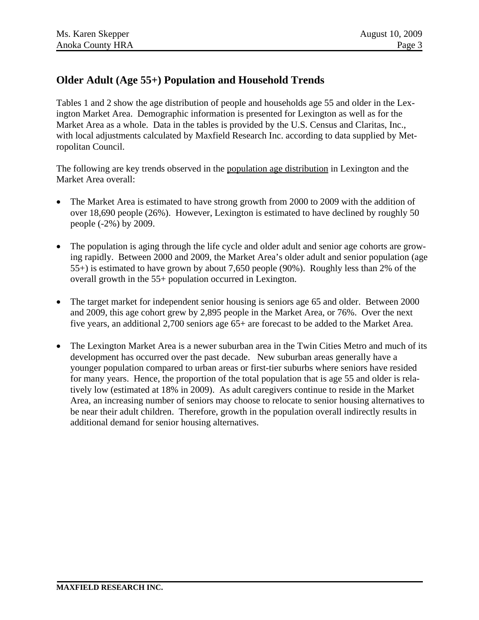# **Older Adult (Age 55+) Population and Household Trends**

Tables 1 and 2 show the age distribution of people and households age 55 and older in the Lexington Market Area. Demographic information is presented for Lexington as well as for the Market Area as a whole. Data in the tables is provided by the U.S. Census and Claritas, Inc., with local adjustments calculated by Maxfield Research Inc. according to data supplied by Metropolitan Council.

The following are key trends observed in the population age distribution in Lexington and the Market Area overall:

- The Market Area is estimated to have strong growth from 2000 to 2009 with the addition of over 18,690 people (26%). However, Lexington is estimated to have declined by roughly 50 people (-2%) by 2009.
- The population is aging through the life cycle and older adult and senior age cohorts are growing rapidly. Between 2000 and 2009, the Market Area's older adult and senior population (age 55+) is estimated to have grown by about 7,650 people (90%). Roughly less than 2% of the overall growth in the 55+ population occurred in Lexington.
- The target market for independent senior housing is seniors age 65 and older. Between 2000 and 2009, this age cohort grew by 2,895 people in the Market Area, or 76%. Over the next five years, an additional 2,700 seniors age 65+ are forecast to be added to the Market Area.
- The Lexington Market Area is a newer suburban area in the Twin Cities Metro and much of its development has occurred over the past decade. New suburban areas generally have a younger population compared to urban areas or first-tier suburbs where seniors have resided for many years. Hence, the proportion of the total population that is age 55 and older is relatively low (estimated at 18% in 2009). As adult caregivers continue to reside in the Market Area, an increasing number of seniors may choose to relocate to senior housing alternatives to be near their adult children. Therefore, growth in the population overall indirectly results in additional demand for senior housing alternatives.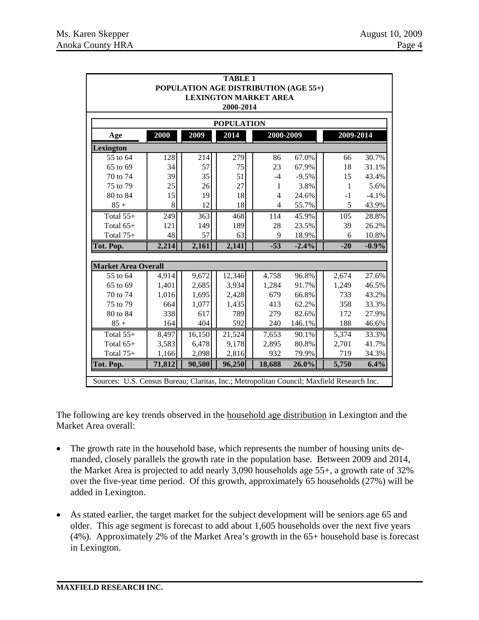| <b>TABLE 1</b><br>POPULATION AGE DISTRIBUTION (AGE 55+)                                   |                                           |        |        |                |         |               |         |  |  |  |
|-------------------------------------------------------------------------------------------|-------------------------------------------|--------|--------|----------------|---------|---------------|---------|--|--|--|
|                                                                                           | <b>LEXINGTON MARKET AREA</b><br>2000-2014 |        |        |                |         |               |         |  |  |  |
|                                                                                           |                                           |        |        |                |         |               |         |  |  |  |
|                                                                                           | <b>POPULATION</b>                         |        |        |                |         |               |         |  |  |  |
| Age                                                                                       | 2000                                      | 2009   | 2014   | 2000-2009      |         | $2009 - 2014$ |         |  |  |  |
| Lexington                                                                                 |                                           |        |        |                |         |               |         |  |  |  |
| 55 to 64                                                                                  | 128                                       | 214    | 279    | 86             | 67.0%   | 66            | 30.7%   |  |  |  |
| 65 to 69                                                                                  | 34                                        | 57     | 75     | 23             | 67.9%   | 18            | 31.1%   |  |  |  |
| 70 to 74                                                                                  | 39                                        | 35     | 51     | $-4$           | $-9.5%$ | 15            | 43.4%   |  |  |  |
| 75 to 79                                                                                  | 25                                        | 26     | 27     | 1              | 3.8%    | $\mathbf{1}$  | 5.6%    |  |  |  |
| 80 to 84                                                                                  | 15                                        | 19     | 18     | $\overline{4}$ | 24.6%   | $-1$          | $-4.1%$ |  |  |  |
| $85 +$                                                                                    | 8                                         | 12     | 18     | 4              | 55.7%   | 5             | 43.9%   |  |  |  |
| Total 55+                                                                                 | 249                                       | 363    | 468    | 114            | 45.9%   | 105           | 28.8%   |  |  |  |
| Total 65+                                                                                 | 121                                       | 149    | 189    | 28             | 23.5%   | 39            | 26.2%   |  |  |  |
| Total $75+$                                                                               | 48                                        | 57     | 63     | 9              | 18.9%   | 6             | 10.8%   |  |  |  |
| Tot. Pop.                                                                                 | 2,214                                     | 2,161  | 2,141  | $-53$          | $-2.4%$ | $-20$         | $-0.9%$ |  |  |  |
|                                                                                           |                                           |        |        |                |         |               |         |  |  |  |
| <b>Market Area Overall</b>                                                                |                                           |        |        |                |         |               |         |  |  |  |
| 55 to 64                                                                                  | 4,914                                     | 9,672  | 12,346 | 4,758          | 96.8%   | 2,674         | 27.6%   |  |  |  |
| 65 to 69                                                                                  | 1,401                                     | 2,685  | 3,934  | 1,284          | 91.7%   | 1,249         | 46.5%   |  |  |  |
| 70 to 74                                                                                  | 1,016                                     | 1,695  | 2,428  | 679            | 66.8%   | 733           | 43.2%   |  |  |  |
| 75 to 79                                                                                  | 664                                       | 1,077  | 1,435  | 413            | 62.2%   | 358           | 33.3%   |  |  |  |
| 80 to 84                                                                                  | 338                                       | 617    | 789    | 279            | 82.6%   | 172           | 27.9%   |  |  |  |
| $85 +$                                                                                    | 164                                       | 404    | 592    | 240            | 146.1%  | 188           | 46.6%   |  |  |  |
| Total 55+                                                                                 | 8,497                                     | 16,150 | 21,524 | 7,653          | 90.1%   | 5,374         | 33.3%   |  |  |  |
| Total 65+                                                                                 | 3,583                                     | 6,478  | 9,178  | 2,895          | 80.8%   | 2,701         | 41.7%   |  |  |  |
| Total 75+                                                                                 | 1,166                                     | 2,098  | 2,816  | 932            | 79.9%   | 719           | 34.3%   |  |  |  |
| Tot. Pop.                                                                                 | 71,812                                    | 90,500 | 96,250 | 18,688         | 26.0%   | 5,750         | 6.4%    |  |  |  |
| Sources: U.S. Census Bureau; Claritas, Inc.; Metropolitan Council; Maxfield Research Inc. |                                           |        |        |                |         |               |         |  |  |  |

The following are key trends observed in the household age distribution in Lexington and the Market Area overall:

- The growth rate in the household base, which represents the number of housing units demanded, closely parallels the growth rate in the population base. Between 2009 and 2014, the Market Area is projected to add nearly 3,090 households age 55+, a growth rate of 32% over the five-year time period. Of this growth, approximately 65 households (27%) will be added in Lexington.
- As stated earlier, the target market for the subject development will be seniors age 65 and older. This age segment is forecast to add about 1,605 households over the next five years (4%). Approximately 2% of the Market Area's growth in the 65+ household base is forecast in Lexington.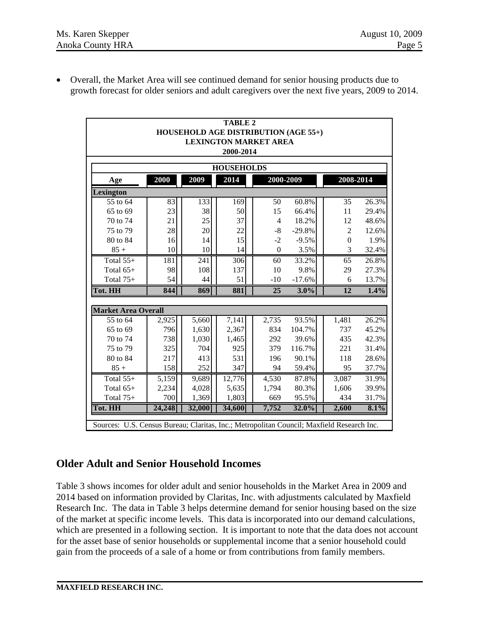• Overall, the Market Area will see continued demand for senior housing products due to growth forecast for older seniors and adult caregivers over the next five years, 2009 to 2014.

| <b>TABLE 2</b><br><b>HOUSEHOLD AGE DISTRIBUTION (AGE 55+)</b><br><b>LEXINGTON MARKET AREA</b><br>2000-2014 |        |        |        |                |          |                |       |  |  |  |
|------------------------------------------------------------------------------------------------------------|--------|--------|--------|----------------|----------|----------------|-------|--|--|--|
| <b>HOUSEHOLDS</b>                                                                                          |        |        |        |                |          |                |       |  |  |  |
| Age                                                                                                        | 2000   | 2009   | 2014   | 2000-2009      |          | 2008-2014      |       |  |  |  |
| Lexington                                                                                                  |        |        |        |                |          |                |       |  |  |  |
| 55 to 64                                                                                                   | 83     | 133    | 169    | 50             | 60.8%    | 35             | 26.3% |  |  |  |
| 65 to 69                                                                                                   | 23     | 38     | 50     | 15             | 66.4%    | 11             | 29.4% |  |  |  |
| 70 to 74                                                                                                   | 21     | 25     | 37     | $\overline{4}$ | 18.2%    | 12             | 48.6% |  |  |  |
| 75 to 79                                                                                                   | 28     | 20     | 22     | $-8$           | $-29.8%$ | $\overline{2}$ | 12.6% |  |  |  |
| 80 to 84                                                                                                   | 16     | 14     | 15     | $-2$           | $-9.5%$  | $\Omega$       | 1.9%  |  |  |  |
| $85 +$                                                                                                     | 10     | 10     | 14     | $\theta$       | 3.5%     | 3              | 32.4% |  |  |  |
| Total $55+$                                                                                                | 181    | 241    | 306    | 60             | 33.2%    | 65             | 26.8% |  |  |  |
| Total $65+$                                                                                                | 98     | 108    | 137    | 10             | 9.8%     | 29             | 27.3% |  |  |  |
| Total $75+$                                                                                                | 54     | 44     | 51     | $-10$          | $-17.6%$ | 6              | 13.7% |  |  |  |
| Tot. HH                                                                                                    | 844    | 869    | 881    | 25             | 3.0%     | 12             | 1.4%  |  |  |  |
| <b>Market Area Overall</b>                                                                                 |        |        |        |                |          |                |       |  |  |  |
| 55 to 64                                                                                                   | 2,925  | 5,660  | 7,141  | 2,735          | 93.5%    | 1,481          | 26.2% |  |  |  |
| 65 to 69                                                                                                   | 796    | 1,630  | 2,367  | 834            | 104.7%   | 737            | 45.2% |  |  |  |
| 70 to 74                                                                                                   | 738    | 1,030  | 1,465  | 292            | 39.6%    | 435            | 42.3% |  |  |  |
| 75 to 79                                                                                                   | 325    | 704    | 925    | 379            | 116.7%   | 221            | 31.4% |  |  |  |
| 80 to 84                                                                                                   | 217    | 413    | 531    | 196            | 90.1%    | 118            | 28.6% |  |  |  |
| $85 +$                                                                                                     | 158    | 252    | 347    | 94             | 59.4%    | 95             | 37.7% |  |  |  |
| Total $55+$                                                                                                | 5,159  | 9,689  | 12,776 | 4,530          | 87.8%    | 3,087          | 31.9% |  |  |  |
| Total 65+                                                                                                  | 2,234  | 4,028  | 5,635  | 1,794          | 80.3%    | 1,606          | 39.9% |  |  |  |
| Total $75+$                                                                                                | 700    | 1,369  | 1,803  | 669            | 95.5%    | 434            | 31.7% |  |  |  |
| Tot. HH                                                                                                    | 24,248 | 32,000 | 34,600 | 7,752          | 32.0%    | 2,600          | 8.1%  |  |  |  |
| Sources: U.S. Census Bureau; Claritas, Inc.; Metropolitan Council; Maxfield Research Inc.                  |        |        |        |                |          |                |       |  |  |  |

# **Older Adult and Senior Household Incomes**

Table 3 shows incomes for older adult and senior households in the Market Area in 2009 and 2014 based on information provided by Claritas, Inc. with adjustments calculated by Maxfield Research Inc. The data in Table 3 helps determine demand for senior housing based on the size of the market at specific income levels. This data is incorporated into our demand calculations, which are presented in a following section. It is important to note that the data does not account for the asset base of senior households or supplemental income that a senior household could gain from the proceeds of a sale of a home or from contributions from family members.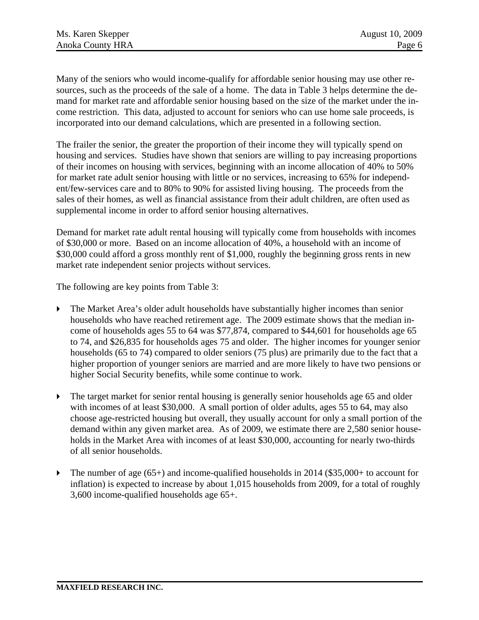Many of the seniors who would income-qualify for affordable senior housing may use other resources, such as the proceeds of the sale of a home. The data in Table 3 helps determine the demand for market rate and affordable senior housing based on the size of the market under the income restriction. This data, adjusted to account for seniors who can use home sale proceeds, is incorporated into our demand calculations, which are presented in a following section.

The frailer the senior, the greater the proportion of their income they will typically spend on housing and services. Studies have shown that seniors are willing to pay increasing proportions of their incomes on housing with services, beginning with an income allocation of 40% to 50% for market rate adult senior housing with little or no services, increasing to 65% for independent/few-services care and to 80% to 90% for assisted living housing. The proceeds from the sales of their homes, as well as financial assistance from their adult children, are often used as supplemental income in order to afford senior housing alternatives.

Demand for market rate adult rental housing will typically come from households with incomes of \$30,000 or more. Based on an income allocation of 40%, a household with an income of \$30,000 could afford a gross monthly rent of \$1,000, roughly the beginning gross rents in new market rate independent senior projects without services.

The following are key points from Table 3:

- The Market Area's older adult households have substantially higher incomes than senior households who have reached retirement age. The 2009 estimate shows that the median income of households ages 55 to 64 was \$77,874, compared to \$44,601 for households age 65 to 74, and \$26,835 for households ages 75 and older. The higher incomes for younger senior households (65 to 74) compared to older seniors (75 plus) are primarily due to the fact that a higher proportion of younger seniors are married and are more likely to have two pensions or higher Social Security benefits, while some continue to work.
- $\triangleright$  The target market for senior rental housing is generally senior households age 65 and older with incomes of at least \$30,000. A small portion of older adults, ages 55 to 64, may also choose age-restricted housing but overall, they usually account for only a small portion of the demand within any given market area. As of 2009, we estimate there are 2,580 senior households in the Market Area with incomes of at least \$30,000, accounting for nearly two-thirds of all senior households.
- $\blacktriangleright$  The number of age (65+) and income-qualified households in 2014 (\$35,000+ to account for inflation) is expected to increase by about 1,015 households from 2009, for a total of roughly 3,600 income-qualified households age 65+.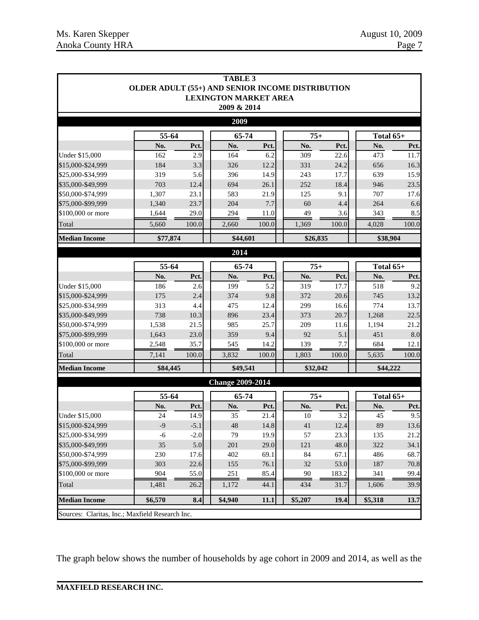|                                                 | OLDER ADULT (55+) AND SENIOR INCOME DISTRIBUTION |              | <b>TABLE 3</b><br><b>LEXINGTON MARKET AREA</b> |             |              |            |             |            |  |
|-------------------------------------------------|--------------------------------------------------|--------------|------------------------------------------------|-------------|--------------|------------|-------------|------------|--|
|                                                 |                                                  |              | 2009 & 2014                                    |             |              |            |             |            |  |
|                                                 |                                                  |              | 2009                                           |             |              |            |             |            |  |
|                                                 | 55-64                                            |              | 65-74                                          |             | $75+$        |            | Total 65+   |            |  |
|                                                 | No.                                              | Pct.         | No.                                            | Pct.        | No.          | Pct.       | No.         | Pct.       |  |
| Under \$15,000                                  | 162                                              | 2.9          | 164                                            | 6.2         | 309          | 22.6       | 473         | 11.7       |  |
| \$15,000-\$24,999                               | 184                                              | 3.3          | 326                                            | 12.2        | 331          | 24.2       | 656         | 16.3       |  |
| \$25,000-\$34,999                               | 319                                              | 5.6          | 396                                            | 14.9        | 243          | 17.7       | 639         | 15.9       |  |
| \$35,000-\$49,999                               | 703                                              | 12.4         | 694                                            | 26.1        | 252          | 18.4       | 946         | 23.5       |  |
| \$50,000-\$74,999<br>\$75,000-\$99,999          | 1,307<br>1,340                                   | 23.1<br>23.7 | 583<br>204                                     | 21.9<br>7.7 | 125<br>60    | 9.1<br>4.4 | 707<br>264  | 17.6       |  |
| \$100,000 or more                               | 1,644                                            | 29.0         | 294                                            | 11.0        | 49           | 3.6        | 343         | 6.6<br>8.5 |  |
| Total                                           | 5,660                                            | 100.0        | 2,660                                          | 100.0       | 1,369        | 100.0      | 4,028       | 100.0      |  |
| <b>Median Income</b>                            | \$77,874                                         |              | \$44,601                                       |             | \$26,835     |            | \$38,904    |            |  |
|                                                 |                                                  |              | 2014                                           |             |              |            |             |            |  |
|                                                 | 55-64                                            |              |                                                |             |              |            | Total $65+$ |            |  |
|                                                 | No.                                              | Pct.         | 65-74<br>No.                                   | Pct.        | $75+$<br>No. | Pct.       | No.         | Pct.       |  |
| Under \$15,000                                  | 186                                              | 2.6          | 199                                            | 5.2         | 319          | 17.7       | 518         | 9.2        |  |
| \$15,000-\$24,999                               | 175                                              | 2.4          | 374                                            | 9.8         | 372          | 20.6       | 745         | 13.2       |  |
| \$25,000-\$34,999                               | 313                                              | 4.4          | 475                                            | 12.4        | 299          | 16.6       | 774         | 13.7       |  |
| \$35,000-\$49,999                               | 738                                              | 10.3         | 896                                            | 23.4        | 373          | 20.7       | 1,268       | 22.5       |  |
| \$50,000-\$74,999                               | 1,538                                            | 21.5         | 985                                            | 25.7        | 209          | 11.6       | 1,194       | 21.2       |  |
| \$75,000-\$99,999                               | 1,643                                            | 23.0         | 359                                            | 9.4         | 92           | 5.1        | 451         | $8.0\,$    |  |
| \$100,000 or more                               | 2,548                                            | 35.7         | 545                                            | 14.2        | 139          | 7.7        | 684         | 12.1       |  |
| Total                                           | 7,141                                            | 100.0        | 3,832                                          | 100.0       | 1,803        | 100.0      | 5,635       | 100.0      |  |
| <b>Median Income</b>                            | \$84,445                                         |              | \$49,541                                       |             | \$32,042     |            | \$44,222    |            |  |
|                                                 |                                                  |              | <b>Change 2009-2014</b>                        |             |              |            |             |            |  |
|                                                 | 55-64                                            |              | 65-74                                          |             | $75+$        |            | Total $65+$ |            |  |
|                                                 | No.                                              | Pct.         | No.                                            | Pct.        | No.          | Pct.       | No.         | Pct.       |  |
| <b>Under \$15,000</b>                           | 24                                               | 14.9         | 35                                             | 21.4        | 10           | 3.2        | 45          | 9.5        |  |
| \$15,000-\$24,999                               | $-9$                                             | $-5.1$       | 48                                             | 14.8        | 41           | 12.4       | 89          | 13.6       |  |
| \$25,000-\$34,999                               | $-6$                                             | $-2.0$       | 79                                             | 19.9        | 57           | 23.3       | 135         | 21.2       |  |
| \$35,000-\$49,999                               | 35                                               | 5.0          | 201                                            | 29.0        | 121          | 48.0       | 322         | 34.1       |  |
| \$50,000-\$74,999                               | 230                                              | 17.6         | 402                                            | 69.1        | 84           | 67.1       | 486         | 68.7       |  |
| \$75,000-\$99,999                               | 303                                              | 22.6         | 155                                            | 76.1        | 32           | 53.0       | 187         | 70.8       |  |
| \$100,000 or more                               | 904                                              | 55.0         | 251                                            | 85.4        | 90           | 183.2      | 341         | 99.4       |  |
| Total                                           | 1,481                                            | 26.2         | 1,172                                          | 44.1        | 434          | 31.7       | 1,606       | 39.9       |  |
| <b>Median Income</b>                            | \$6,570                                          | 8.4          | \$4,940                                        | 11.1        | \$5,207      | 19.4       | \$5,318     | 13.7       |  |
| Sources: Claritas, Inc.; Maxfield Research Inc. |                                                  |              |                                                |             |              |            |             |            |  |

The graph below shows the number of households by age cohort in 2009 and 2014, as well as the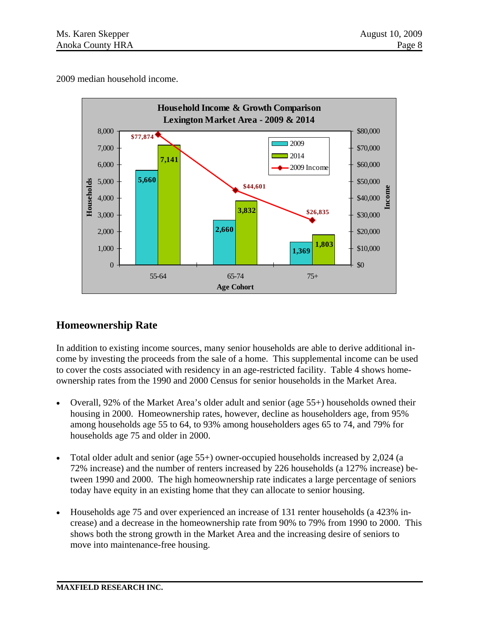2009 median household income.



# **Homeownership Rate**

In addition to existing income sources, many senior households are able to derive additional income by investing the proceeds from the sale of a home. This supplemental income can be used to cover the costs associated with residency in an age-restricted facility. Table 4 shows homeownership rates from the 1990 and 2000 Census for senior households in the Market Area.

- Overall, 92% of the Market Area's older adult and senior (age 55+) households owned their housing in 2000. Homeownership rates, however, decline as householders age, from 95% among households age 55 to 64, to 93% among householders ages 65 to 74, and 79% for households age 75 and older in 2000.
- Total older adult and senior (age 55+) owner-occupied households increased by 2,024 (a 72% increase) and the number of renters increased by 226 households (a 127% increase) between 1990 and 2000. The high homeownership rate indicates a large percentage of seniors today have equity in an existing home that they can allocate to senior housing.
- Households age 75 and over experienced an increase of 131 renter households (a 423% increase) and a decrease in the homeownership rate from 90% to 79% from 1990 to 2000. This shows both the strong growth in the Market Area and the increasing desire of seniors to move into maintenance-free housing.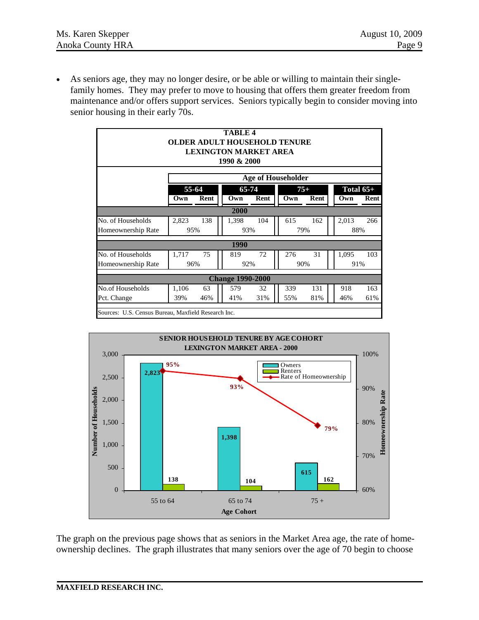• As seniors age, they may no longer desire, or be able or willing to maintain their singlefamily homes. They may prefer to move to housing that offers them greater freedom from maintenance and/or offers support services. Seniors typically begin to consider moving into senior housing in their early 70s.

| TABLE <sub>4</sub><br><b>OLDER ADULT HOUSEHOLD TENURE</b><br><b>LEXINGTON MARKET AREA</b><br>1990 & 2000 |                                                      |                                                                            |     |     |     |       |     |  |  |  |  |
|----------------------------------------------------------------------------------------------------------|------------------------------------------------------|----------------------------------------------------------------------------|-----|-----|-----|-------|-----|--|--|--|--|
| Age of Householder                                                                                       |                                                      |                                                                            |     |     |     |       |     |  |  |  |  |
|                                                                                                          | 55-64<br>Rent<br>Own                                 | Total $65+$<br>65-74<br>$75+$<br>Rent<br>Rent<br>Own<br>Rent<br>Own<br>Own |     |     |     |       |     |  |  |  |  |
|                                                                                                          |                                                      | 2000                                                                       |     |     |     |       |     |  |  |  |  |
| No. of Households                                                                                        | 2,823<br>138                                         | 1,398                                                                      | 104 | 615 | 162 | 2,013 | 266 |  |  |  |  |
| Homeownership Rate                                                                                       | 95%                                                  | 93%                                                                        |     |     | 79% |       | 88% |  |  |  |  |
|                                                                                                          |                                                      | 1990                                                                       |     |     |     |       |     |  |  |  |  |
| No. of Households                                                                                        | 1,717<br>75                                          | 819                                                                        | 72  | 276 | 31  | 1,095 | 103 |  |  |  |  |
| Homeownership Rate                                                                                       | 96%                                                  | 92%                                                                        |     |     | 90% |       | 91% |  |  |  |  |
|                                                                                                          |                                                      | <b>Change 1990-2000</b>                                                    |     |     |     |       |     |  |  |  |  |
| No.of Households                                                                                         | 1,106<br>63                                          | 579                                                                        | 32  | 339 | 131 | 918   | 163 |  |  |  |  |
| Pct. Change                                                                                              | 41%<br>55%<br>39%<br>46%<br>31%<br>81%<br>46%<br>61% |                                                                            |     |     |     |       |     |  |  |  |  |
|                                                                                                          | Sources: U.S. Census Bureau, Maxfield Research Inc.  |                                                                            |     |     |     |       |     |  |  |  |  |



The graph on the previous page shows that as seniors in the Market Area age, the rate of homeownership declines. The graph illustrates that many seniors over the age of 70 begin to choose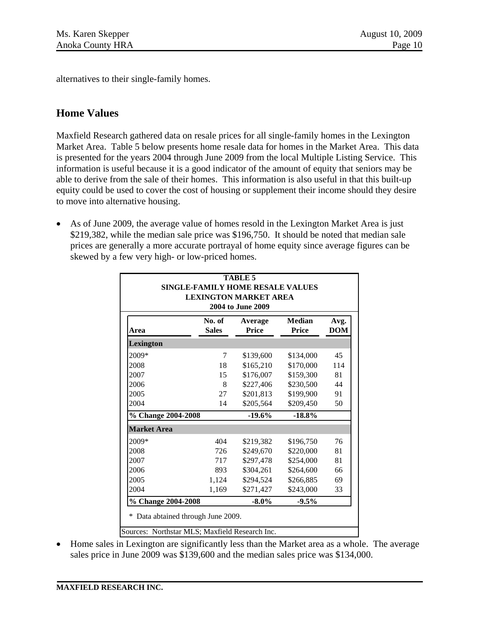alternatives to their single-family homes.

# **Home Values**

Maxfield Research gathered data on resale prices for all single-family homes in the Lexington Market Area. Table 5 below presents home resale data for homes in the Market Area. This data is presented for the years 2004 through June 2009 from the local Multiple Listing Service. This information is useful because it is a good indicator of the amount of equity that seniors may be able to derive from the sale of their homes. This information is also useful in that this built-up equity could be used to cover the cost of housing or supplement their income should they desire to move into alternative housing.

• As of June 2009, the average value of homes resold in the Lexington Market Area is just \$219,382, while the median sale price was \$196,750. It should be noted that median sale prices are generally a more accurate portrayal of home equity since average figures can be skewed by a few very high- or low-priced homes.

| <b>TABLE 5</b><br><b>SINGLE-FAMILY HOME RESALE VALUES</b><br><b>LEXINGTON MARKET AREA</b><br>2004 to June 2009 |                        |                         |                        |                    |  |  |  |  |
|----------------------------------------------------------------------------------------------------------------|------------------------|-------------------------|------------------------|--------------------|--|--|--|--|
| Area                                                                                                           | No. of<br><b>Sales</b> | Average<br><b>Price</b> | <b>Median</b><br>Price | Avg.<br><b>DOM</b> |  |  |  |  |
| <b>Lexington</b>                                                                                               |                        |                         |                        |                    |  |  |  |  |
| 2009*                                                                                                          | 7                      | \$139,600               | \$134,000              | 45                 |  |  |  |  |
| 2008                                                                                                           | 18                     | \$165,210               | \$170,000              | 114                |  |  |  |  |
| 2007                                                                                                           | 15                     | \$176,007               | \$159,300              | 81                 |  |  |  |  |
| 2006                                                                                                           | 8                      | \$227,406               | \$230,500              | 44                 |  |  |  |  |
| 2005                                                                                                           | 27                     | \$201,813               | \$199,900              | 91                 |  |  |  |  |
| 2004                                                                                                           | 14                     | \$205,564               | \$209,450              | 50                 |  |  |  |  |
| % Change 2004-2008                                                                                             |                        | $-19.6%$                | $-18.8%$               |                    |  |  |  |  |
| <b>Market Area</b>                                                                                             |                        |                         |                        |                    |  |  |  |  |
| 2009*                                                                                                          | 404                    | \$219,382               | \$196,750              | 76                 |  |  |  |  |
| 2008                                                                                                           | 726                    | \$249,670               | \$220,000              | 81                 |  |  |  |  |
| 2007                                                                                                           | 717                    | \$297,478               | \$254,000              | 81                 |  |  |  |  |
| 2006                                                                                                           | 893                    | \$304,261               | \$264,600              | 66                 |  |  |  |  |
| 2005                                                                                                           | 1,124                  | \$294,524               | \$266,885              | 69                 |  |  |  |  |
| 2004                                                                                                           | 1,169                  | \$271,427               | \$243,000              | 33                 |  |  |  |  |
| % Change 2004-2008                                                                                             |                        | $-8.0\%$                | $-9.5%$                |                    |  |  |  |  |
| Data abtained through June 2009.                                                                               |                        |                         |                        |                    |  |  |  |  |
| Sources: Northstar MLS; Maxfield Research Inc.                                                                 |                        |                         |                        |                    |  |  |  |  |

• Home sales in Lexington are significantly less than the Market area as a whole. The average sales price in June 2009 was \$139,600 and the median sales price was \$134,000.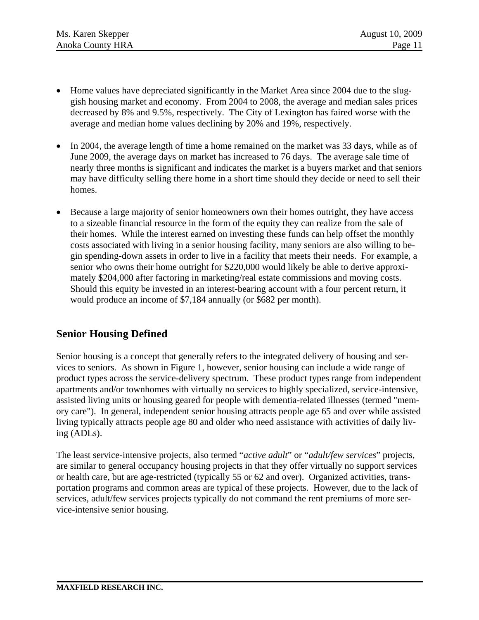- Home values have depreciated significantly in the Market Area since 2004 due to the sluggish housing market and economy. From 2004 to 2008, the average and median sales prices decreased by 8% and 9.5%, respectively. The City of Lexington has faired worse with the average and median home values declining by 20% and 19%, respectively.
- In 2004, the average length of time a home remained on the market was 33 days, while as of June 2009, the average days on market has increased to 76 days. The average sale time of nearly three months is significant and indicates the market is a buyers market and that seniors may have difficulty selling there home in a short time should they decide or need to sell their homes.
- Because a large majority of senior homeowners own their homes outright, they have access to a sizeable financial resource in the form of the equity they can realize from the sale of their homes. While the interest earned on investing these funds can help offset the monthly costs associated with living in a senior housing facility, many seniors are also willing to begin spending-down assets in order to live in a facility that meets their needs. For example, a senior who owns their home outright for \$220,000 would likely be able to derive approximately \$204,000 after factoring in marketing/real estate commissions and moving costs. Should this equity be invested in an interest-bearing account with a four percent return, it would produce an income of \$7,184 annually (or \$682 per month).

# **Senior Housing Defined**

Senior housing is a concept that generally refers to the integrated delivery of housing and services to seniors. As shown in Figure 1, however, senior housing can include a wide range of product types across the service-delivery spectrum. These product types range from independent apartments and/or townhomes with virtually no services to highly specialized, service-intensive, assisted living units or housing geared for people with dementia-related illnesses (termed "memory care"). In general, independent senior housing attracts people age 65 and over while assisted living typically attracts people age 80 and older who need assistance with activities of daily living (ADLs).

The least service-intensive projects, also termed "*active adult*" or "*adult/few services*" projects, are similar to general occupancy housing projects in that they offer virtually no support services or health care, but are age-restricted (typically 55 or 62 and over). Organized activities, transportation programs and common areas are typical of these projects. However, due to the lack of services, adult/few services projects typically do not command the rent premiums of more service-intensive senior housing.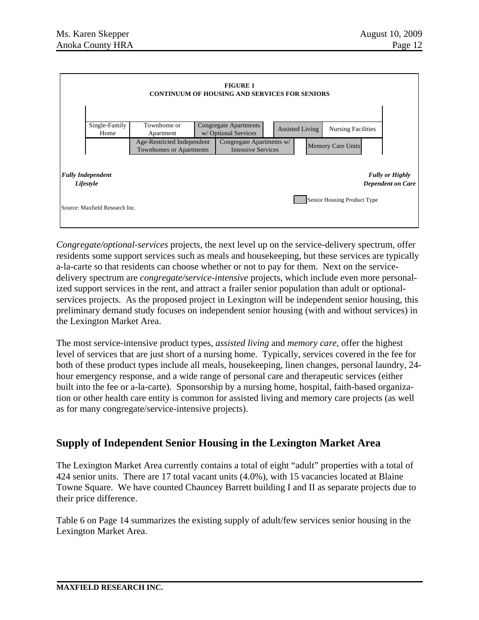

*Congregate/optional-services* projects, the next level up on the service-delivery spectrum, offer residents some support services such as meals and housekeeping, but these services are typically a-la-carte so that residents can choose whether or not to pay for them. Next on the servicedelivery spectrum are *congregate/service-intensive* projects, which include even more personalized support services in the rent, and attract a frailer senior population than adult or optionalservices projects. As the proposed project in Lexington will be independent senior housing, this preliminary demand study focuses on independent senior housing (with and without services) in the Lexington Market Area.

The most service-intensive product types, *assisted living* and *memory care*, offer the highest level of services that are just short of a nursing home. Typically, services covered in the fee for both of these product types include all meals, housekeeping, linen changes, personal laundry, 24 hour emergency response, and a wide range of personal care and therapeutic services (either built into the fee or a-la-carte). Sponsorship by a nursing home, hospital, faith-based organization or other health care entity is common for assisted living and memory care projects (as well as for many congregate/service-intensive projects).

# **Supply of Independent Senior Housing in the Lexington Market Area**

The Lexington Market Area currently contains a total of eight "adult" properties with a total of 424 senior units. There are 17 total vacant units (4.0%), with 15 vacancies located at Blaine Towne Square. We have counted Chauncey Barrett building I and II as separate projects due to their price difference.

Table 6 on Page 14 summarizes the existing supply of adult/few services senior housing in the Lexington Market Area.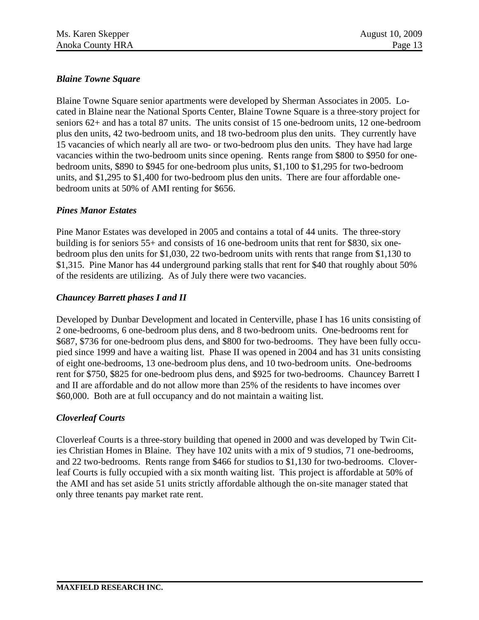### *Blaine Towne Square*

Blaine Towne Square senior apartments were developed by Sherman Associates in 2005. Located in Blaine near the National Sports Center, Blaine Towne Square is a three-story project for seniors 62+ and has a total 87 units. The units consist of 15 one-bedroom units, 12 one-bedroom plus den units, 42 two-bedroom units, and 18 two-bedroom plus den units. They currently have 15 vacancies of which nearly all are two- or two-bedroom plus den units. They have had large vacancies within the two-bedroom units since opening. Rents range from \$800 to \$950 for onebedroom units, \$890 to \$945 for one-bedroom plus units, \$1,100 to \$1,295 for two-bedroom units, and \$1,295 to \$1,400 for two-bedroom plus den units. There are four affordable onebedroom units at 50% of AMI renting for \$656.

#### *Pines Manor Estates*

Pine Manor Estates was developed in 2005 and contains a total of 44 units. The three-story building is for seniors 55+ and consists of 16 one-bedroom units that rent for \$830, six onebedroom plus den units for \$1,030, 22 two-bedroom units with rents that range from \$1,130 to \$1,315. Pine Manor has 44 underground parking stalls that rent for \$40 that roughly about 50% of the residents are utilizing. As of July there were two vacancies.

#### *Chauncey Barrett phases I and II*

Developed by Dunbar Development and located in Centerville, phase I has 16 units consisting of 2 one-bedrooms, 6 one-bedroom plus dens, and 8 two-bedroom units. One-bedrooms rent for \$687, \$736 for one-bedroom plus dens, and \$800 for two-bedrooms. They have been fully occupied since 1999 and have a waiting list. Phase II was opened in 2004 and has 31 units consisting of eight one-bedrooms, 13 one-bedroom plus dens, and 10 two-bedroom units. One-bedrooms rent for \$750, \$825 for one-bedroom plus dens, and \$925 for two-bedrooms. Chauncey Barrett I and II are affordable and do not allow more than 25% of the residents to have incomes over \$60,000. Both are at full occupancy and do not maintain a waiting list.

#### *Cloverleaf Courts*

Cloverleaf Courts is a three-story building that opened in 2000 and was developed by Twin Cities Christian Homes in Blaine. They have 102 units with a mix of 9 studios, 71 one-bedrooms, and 22 two-bedrooms. Rents range from \$466 for studios to \$1,130 for two-bedrooms. Cloverleaf Courts is fully occupied with a six month waiting list. This project is affordable at 50% of the AMI and has set aside 51 units strictly affordable although the on-site manager stated that only three tenants pay market rate rent.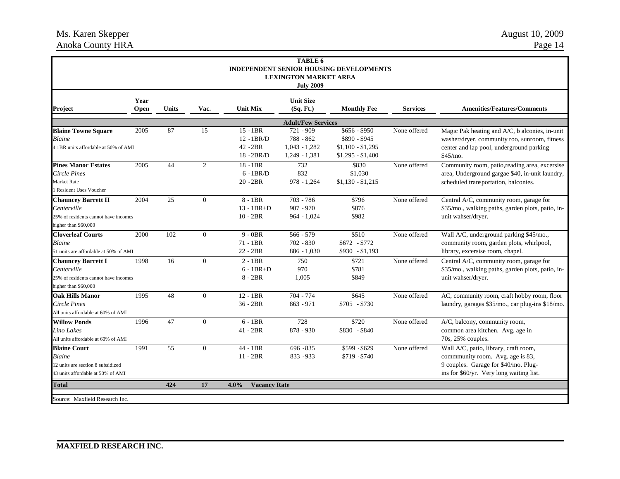#### Ms. Karen Skepper August 10, 2009 Anoka County HRA Page 14

|                                                                                                           |              |              |                 |                                                          | TABLE 6<br><b>LEXINGTON MARKET AREA</b><br><b>July 2009</b>  | <b>INDEPENDENT SENIOR HOUSING DEVELOPMENTS</b>                           |                 |                                                                                                                                                              |
|-----------------------------------------------------------------------------------------------------------|--------------|--------------|-----------------|----------------------------------------------------------|--------------------------------------------------------------|--------------------------------------------------------------------------|-----------------|--------------------------------------------------------------------------------------------------------------------------------------------------------------|
| Project                                                                                                   | Year<br>Open | <b>Units</b> | Vac.            | <b>Unit Mix</b>                                          | <b>Unit Size</b><br>(Sq. Ft.)                                | <b>Monthly Fee</b>                                                       | <b>Services</b> | <b>Amenities/Features/Comments</b>                                                                                                                           |
|                                                                                                           |              |              |                 |                                                          | <b>Adult/Few Services</b>                                    |                                                                          |                 |                                                                                                                                                              |
| <b>Blaine Towne Square</b><br><b>Blaine</b><br>4 1BR units affordable at 50% of AMI                       | 2005         | 87           | 15              | $15 - 1BR$<br>$12 - 1BR/D$<br>$42 - 2BR$<br>$18 - 2BR/D$ | 721 - 909<br>788 - 862<br>$1,043 - 1,282$<br>$1,249 - 1,381$ | $$656 - $950$<br>\$890 - \$945<br>$$1,100 - $1,295$<br>$$1,295 - $1,400$ | None offered    | Magic Pak heating and A/C, b alconies, in-unit<br>washer/dryer, community roo, sunroom, fitness<br>center and lap pool, underground parking<br>\$45/mo.      |
| <b>Pines Manor Estates</b><br>Circle Pines<br>Market Rate<br><b>Resident Uses Voucher</b>                 | 2005         | 44           | $\overline{2}$  | $18 - 1BR$<br>$6 - 1BR/D$<br>$20 - 2BR$                  | 732<br>832<br>$978 - 1,264$                                  | \$830<br>\$1,030<br>$$1,130 - $1,215$                                    | None offered    | Community room, patio, reading area, excersise<br>area, Underground gargae \$40, in-unit laundry,<br>scheduled transportation, balconies.                    |
| <b>Chauncey Barrett II</b><br>Centerville<br>25% of residents cannot have incomes<br>higher than \$60,000 | 2004         | 25           | $\Omega$        | $8 - 1BR$<br>$13 - 1BR + D$<br>$10 - 2BR$                | $703 - 786$<br>$907 - 970$<br>$964 - 1,024$                  | \$796<br>\$876<br>\$982                                                  | None offered    | Central A/C, community room, garage for<br>\$35/mo., walking paths, garden plots, patio, in-<br>unit wahser/dryer.                                           |
| <b>Cloverleaf Courts</b><br>Blaine<br>51 units are affordable at 50% of AMI                               | 2000         | 102          | $\overline{0}$  | $9 - 0BR$<br>$71 - 1BR$<br>$22 - 2BR$                    | $566 - 579$<br>$702 - 830$<br>$886 - 1,030$                  | \$510<br>$$672$ - \$772<br>$$930 - $1,193$                               | None offered    | Wall A/C, underground parking \$45/mo.,<br>community room, garden plots, whirlpool,<br>library, excersise room, chapel.                                      |
| <b>Chauncey Barrett I</b><br>Centerville<br>25% of residents cannot have incomes<br>higher than \$60,000  | 1998         | 16           | $\mathbf{0}$    | $2 - 1BR$<br>$6 - 1BR + D$<br>$8 - 2BR$                  | 750<br>970<br>1,005                                          | \$721<br>\$781<br>\$849                                                  | None offered    | Central A/C, community room, garage for<br>\$35/mo., walking paths, garden plots, patio, in-<br>unit wahser/dryer.                                           |
| <b>Oak Hills Manor</b><br>Circle Pines<br>All units affordable at 60% of AMI                              | 1995         | 48           | $\overline{0}$  | $12 - 1BR$<br>$36 - 2BR$                                 | $704 - 774$<br>$863 - 971$                                   | \$645<br>$$705 - $730$                                                   | None offered    | AC, community room, craft hobby room, floor<br>laundry, garages \$35/mo., car plug-ins \$18/mo.                                                              |
| <b>Willow Ponds</b><br>Lino Lakes<br>All units affordable at 60% of AMI                                   | 1996         | 47           | $\overline{0}$  | $6 - 1BR$<br>$41 - 2BR$                                  | 728<br>$878 - 930$                                           | \$720<br>$$830 - $840$                                                   | None offered    | A/C, balcony, community room,<br>common area kitchen. Avg. age in<br>70s, 25% couples.                                                                       |
| <b>Blaine Court</b><br>Blaine<br>12 units are section 8 subsidized<br>43 units affordable at 50% of AMI   | 1991         | 55           | $\overline{0}$  | 44 - 1BR<br>$11 - 2BR$                                   | 696 - 835<br>833 - 933                                       | \$599 - \$629<br>$$719 - $740$                                           | None offered    | Wall A/C, patio, library, craft room,<br>community room. Avg. age is 83,<br>9 couples. Garage for \$40/mo. Plug-<br>ins for \$60/yr. Very long waiting list. |
| <b>Total</b>                                                                                              |              | 424          | $\overline{17}$ | 4.0%<br><b>Vacancy Rate</b>                              |                                                              |                                                                          |                 |                                                                                                                                                              |
| Source: Maxfield Research Inc.                                                                            |              |              |                 |                                                          |                                                              |                                                                          |                 |                                                                                                                                                              |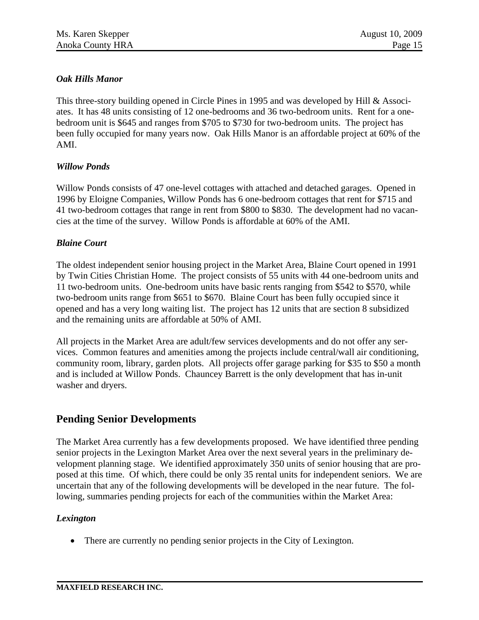### *Oak Hills Manor*

This three-story building opened in Circle Pines in 1995 and was developed by Hill & Associates. It has 48 units consisting of 12 one-bedrooms and 36 two-bedroom units. Rent for a onebedroom unit is \$645 and ranges from \$705 to \$730 for two-bedroom units. The project has been fully occupied for many years now. Oak Hills Manor is an affordable project at 60% of the AMI.

#### *Willow Ponds*

Willow Ponds consists of 47 one-level cottages with attached and detached garages. Opened in 1996 by Eloigne Companies, Willow Ponds has 6 one-bedroom cottages that rent for \$715 and 41 two-bedroom cottages that range in rent from \$800 to \$830. The development had no vacancies at the time of the survey. Willow Ponds is affordable at 60% of the AMI.

#### *Blaine Court*

The oldest independent senior housing project in the Market Area, Blaine Court opened in 1991 by Twin Cities Christian Home. The project consists of 55 units with 44 one-bedroom units and 11 two-bedroom units. One-bedroom units have basic rents ranging from \$542 to \$570, while two-bedroom units range from \$651 to \$670. Blaine Court has been fully occupied since it opened and has a very long waiting list. The project has 12 units that are section 8 subsidized and the remaining units are affordable at 50% of AMI.

All projects in the Market Area are adult/few services developments and do not offer any services. Common features and amenities among the projects include central/wall air conditioning, community room, library, garden plots. All projects offer garage parking for \$35 to \$50 a month and is included at Willow Ponds. Chauncey Barrett is the only development that has in-unit washer and dryers.

# **Pending Senior Developments**

The Market Area currently has a few developments proposed. We have identified three pending senior projects in the Lexington Market Area over the next several years in the preliminary development planning stage. We identified approximately 350 units of senior housing that are proposed at this time. Of which, there could be only 35 rental units for independent seniors. We are uncertain that any of the following developments will be developed in the near future. The following, summaries pending projects for each of the communities within the Market Area:

### *Lexington*

• There are currently no pending senior projects in the City of Lexington.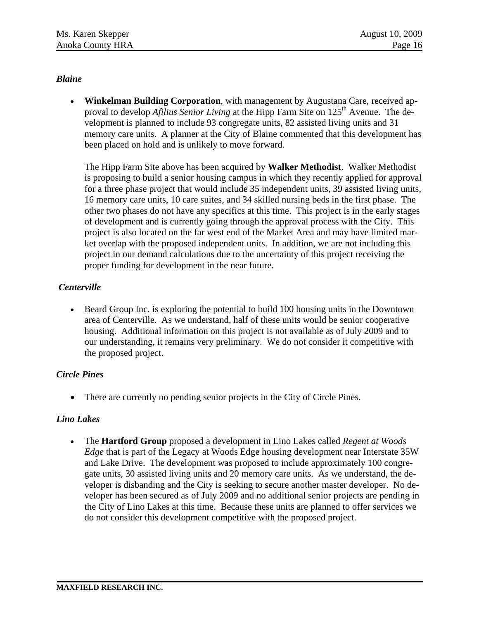### *Blaine*

• **Winkelman Building Corporation**, with management by Augustana Care, received approval to develop *Afilius Senior Living* at the Hipp Farm Site on 125<sup>th</sup> Avenue. The development is planned to include 93 congregate units, 82 assisted living units and 31 memory care units. A planner at the City of Blaine commented that this development has been placed on hold and is unlikely to move forward.

The Hipp Farm Site above has been acquired by **Walker Methodist**. Walker Methodist is proposing to build a senior housing campus in which they recently applied for approval for a three phase project that would include 35 independent units, 39 assisted living units, 16 memory care units, 10 care suites, and 34 skilled nursing beds in the first phase. The other two phases do not have any specifics at this time. This project is in the early stages of development and is currently going through the approval process with the City. This project is also located on the far west end of the Market Area and may have limited market overlap with the proposed independent units. In addition, we are not including this project in our demand calculations due to the uncertainty of this project receiving the proper funding for development in the near future.

#### *Centerville*

• Beard Group Inc. is exploring the potential to build 100 housing units in the Downtown area of Centerville. As we understand, half of these units would be senior cooperative housing. Additional information on this project is not available as of July 2009 and to our understanding, it remains very preliminary. We do not consider it competitive with the proposed project.

#### *Circle Pines*

• There are currently no pending senior projects in the City of Circle Pines.

#### *Lino Lakes*

• The **Hartford Group** proposed a development in Lino Lakes called *Regent at Woods Edge* that is part of the Legacy at Woods Edge housing development near Interstate 35W and Lake Drive. The development was proposed to include approximately 100 congregate units, 30 assisted living units and 20 memory care units. As we understand, the developer is disbanding and the City is seeking to secure another master developer. No developer has been secured as of July 2009 and no additional senior projects are pending in the City of Lino Lakes at this time. Because these units are planned to offer services we do not consider this development competitive with the proposed project.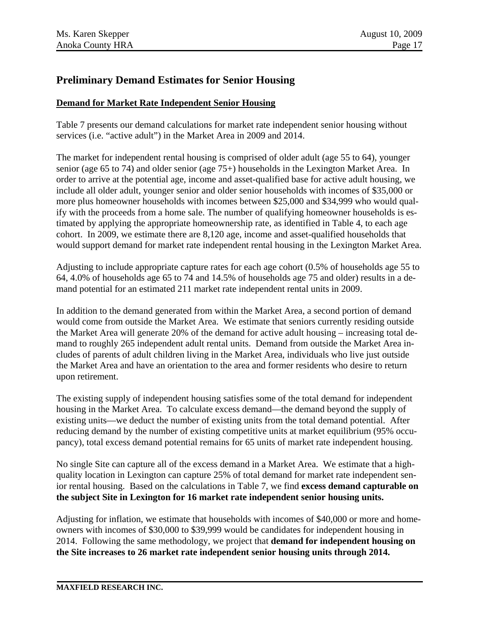# **Preliminary Demand Estimates for Senior Housing**

### **Demand for Market Rate Independent Senior Housing**

Table 7 presents our demand calculations for market rate independent senior housing without services (i.e. "active adult") in the Market Area in 2009 and 2014.

The market for independent rental housing is comprised of older adult (age 55 to 64), younger senior (age 65 to 74) and older senior (age 75+) households in the Lexington Market Area. In order to arrive at the potential age, income and asset-qualified base for active adult housing, we include all older adult, younger senior and older senior households with incomes of \$35,000 or more plus homeowner households with incomes between \$25,000 and \$34,999 who would qualify with the proceeds from a home sale. The number of qualifying homeowner households is estimated by applying the appropriate homeownership rate, as identified in Table 4, to each age cohort. In 2009, we estimate there are 8,120 age, income and asset-qualified households that would support demand for market rate independent rental housing in the Lexington Market Area.

Adjusting to include appropriate capture rates for each age cohort (0.5% of households age 55 to 64, 4.0% of households age 65 to 74 and 14.5% of households age 75 and older) results in a demand potential for an estimated 211 market rate independent rental units in 2009.

In addition to the demand generated from within the Market Area, a second portion of demand would come from outside the Market Area. We estimate that seniors currently residing outside the Market Area will generate 20% of the demand for active adult housing – increasing total demand to roughly 265 independent adult rental units. Demand from outside the Market Area includes of parents of adult children living in the Market Area, individuals who live just outside the Market Area and have an orientation to the area and former residents who desire to return upon retirement.

The existing supply of independent housing satisfies some of the total demand for independent housing in the Market Area. To calculate excess demand—the demand beyond the supply of existing units—we deduct the number of existing units from the total demand potential. After reducing demand by the number of existing competitive units at market equilibrium (95% occupancy), total excess demand potential remains for 65 units of market rate independent housing.

No single Site can capture all of the excess demand in a Market Area. We estimate that a highquality location in Lexington can capture 25% of total demand for market rate independent senior rental housing. Based on the calculations in Table 7, we find **excess demand capturable on the subject Site in Lexington for 16 market rate independent senior housing units.** 

Adjusting for inflation, we estimate that households with incomes of \$40,000 or more and homeowners with incomes of \$30,000 to \$39,999 would be candidates for independent housing in 2014. Following the same methodology*,* we project that **demand for independent housing on the Site increases to 26 market rate independent senior housing units through 2014.**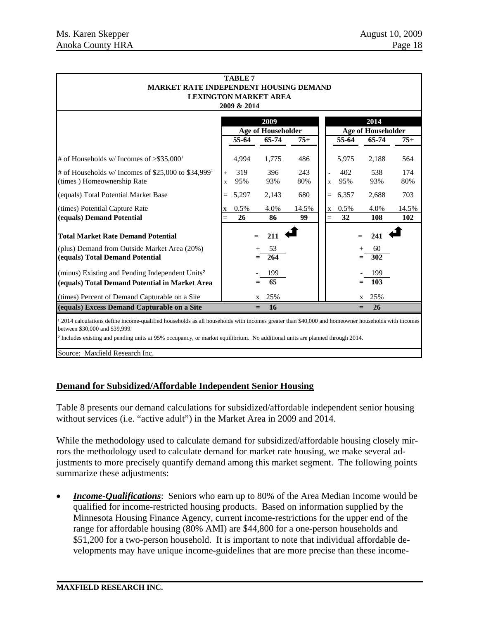| <b>TABLE 7</b><br><b>MARKET RATE INDEPENDENT HOUSING DEMAND</b>                                                                                                                   |             |       |                           |       |             |       |                           |       |
|-----------------------------------------------------------------------------------------------------------------------------------------------------------------------------------|-------------|-------|---------------------------|-------|-------------|-------|---------------------------|-------|
| <b>LEXINGTON MARKET AREA</b><br>2009 & 2014                                                                                                                                       |             |       |                           |       |             |       |                           |       |
|                                                                                                                                                                                   |             |       | 2009                      |       |             |       | 2014                      |       |
|                                                                                                                                                                                   |             |       | <b>Age of Householder</b> |       |             |       | <b>Age of Householder</b> |       |
|                                                                                                                                                                                   |             | 55-64 | 65-74                     | $75+$ |             | 55-64 | 65-74                     | $75+$ |
| # of Households w/ Incomes of $>$ \$35,000 <sup>1</sup>                                                                                                                           |             | 4,994 | 1,775                     | 486   |             | 5,975 | 2,188                     | 564   |
| # of Households w/ Incomes of \$25,000 to \$34,999 <sup>1</sup>                                                                                                                   | $\ddot{}$   | 319   | 396                       | 243   |             | 402   | 538                       | 174   |
| (times) Homeownership Rate                                                                                                                                                        | $\mathbf x$ | 95%   | 93%                       | 80%   | $\mathbf x$ | 95%   | 93%                       | 80%   |
| (equals) Total Potential Market Base                                                                                                                                              | $=$         | 5,297 | 2,143                     | 680   | $=$         | 6,357 | 2,688                     | 703   |
| (times) Potential Capture Rate                                                                                                                                                    | X           | 0.5%  | 4.0%                      | 14.5% | $\mathbf X$ | 0.5%  | 4.0%                      | 14.5% |
| (equals) Demand Potential                                                                                                                                                         |             | 26    | 86                        | 99    | $=$         | 32    | 108                       | 102   |
| <b>Total Market Rate Demand Potential</b>                                                                                                                                         |             |       | 211                       |       |             |       | 241                       |       |
| (plus) Demand from Outside Market Area (20%)                                                                                                                                      |             |       | 53                        |       |             |       | 60                        |       |
| (equals) Total Demand Potential                                                                                                                                                   |             |       | 264                       |       |             |       | 302                       |       |
| (minus) Existing and Pending Independent Units <sup>2</sup>                                                                                                                       |             |       | 199                       |       |             |       | 199                       |       |
| (equals) Total Demand Potential in Market Area                                                                                                                                    |             |       | 65                        |       |             |       | 103                       |       |
| (times) Percent of Demand Capturable on a Site                                                                                                                                    |             |       | 25%<br>X                  |       |             |       | 25%<br>$\mathbf{x}$       |       |
| (equals) Excess Demand Capturable on a Site                                                                                                                                       |             |       | 16<br>$=$                 |       |             |       | 26<br>$=$                 |       |
| 2014 calculations define income-qualified households as all households with incomes greater than \$40,000 and homeowner households with incomes<br>between \$30,000 and \$39,999. |             |       |                           |       |             |       |                           |       |
| <sup>2</sup> Includes existing and pending units at 95% occupancy, or market equilibrium. No additional units are planned through 2014.                                           |             |       |                           |       |             |       |                           |       |
|                                                                                                                                                                                   |             |       |                           |       |             |       |                           |       |

Source: Maxfield Research Inc.

### **Demand for Subsidized/Affordable Independent Senior Housing**

Table 8 presents our demand calculations for subsidized/affordable independent senior housing without services (i.e. "active adult") in the Market Area in 2009 and 2014.

While the methodology used to calculate demand for subsidized/affordable housing closely mirrors the methodology used to calculate demand for market rate housing, we make several adjustments to more precisely quantify demand among this market segment. The following points summarize these adjustments:

• *Income-Qualifications*: Seniors who earn up to 80% of the Area Median Income would be qualified for income-restricted housing products. Based on information supplied by the Minnesota Housing Finance Agency, current income-restrictions for the upper end of the range for affordable housing (80% AMI) are \$44,800 for a one-person households and \$51,200 for a two-person household. It is important to note that individual affordable developments may have unique income-guidelines that are more precise than these income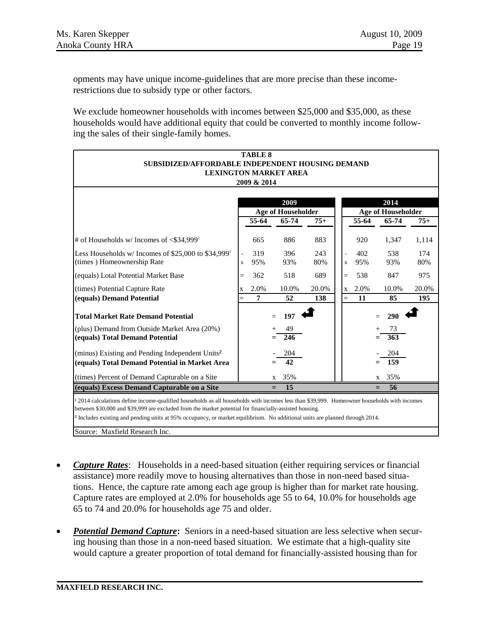opments may have unique income-guidelines that are more precise than these incomerestrictions due to subsidy type or other factors.

We exclude homeowner households with incomes between \$25,000 and \$35,000, as these households would have additional equity that could be converted to monthly income following the sales of their single-family homes.

|                                                                                                                                                        | <b>TABLE 8</b>                                                                          |             |                           |       |             |       |                           |       |
|--------------------------------------------------------------------------------------------------------------------------------------------------------|-----------------------------------------------------------------------------------------|-------------|---------------------------|-------|-------------|-------|---------------------------|-------|
|                                                                                                                                                        | <b>SUBSIDIZED/AFFORDABLE INDEPENDENT HOUSING DEMAND</b><br><b>LEXINGTON MARKET AREA</b> |             |                           |       |             |       |                           |       |
|                                                                                                                                                        |                                                                                         | 2009 & 2014 |                           |       |             |       |                           |       |
|                                                                                                                                                        |                                                                                         |             |                           |       |             |       |                           |       |
|                                                                                                                                                        |                                                                                         |             | 2009                      |       |             |       | 2014                      |       |
|                                                                                                                                                        |                                                                                         |             | <b>Age of Householder</b> |       |             |       | <b>Age of Householder</b> |       |
|                                                                                                                                                        |                                                                                         | 55-64       | 65-74                     | $75+$ |             | 55-64 | 65-74                     | $75+$ |
| # of Households w/ Incomes of $\leq$ \$34,999 <sup>1</sup>                                                                                             |                                                                                         | 665         | 886                       | 883   |             | 920   | 1,347                     | 1,114 |
| Less Households w/ Incomes of \$25,000 to \$34,999 <sup>1</sup>                                                                                        |                                                                                         | 319         | 396                       | 243   |             | 402   | 538                       | 174   |
| (times) Homeownership Rate                                                                                                                             | $\mathbf x$                                                                             | 95%         | 93%                       | 80%   | $\mathbf x$ | 95%   | 93%                       | 80%   |
| (equals) Lotal Potential Market Base                                                                                                                   | $=$                                                                                     | 362         | 518                       | 689   | $=$         | 538   | 847                       | 975   |
| (times) Potential Capture Rate                                                                                                                         |                                                                                         | 2.0%        | 10.0%                     | 20.0% | $\mathbf X$ | 2.0%  | 10.0%                     | 20.0% |
| (equals) Demand Potential                                                                                                                              |                                                                                         | 7           | 52                        | 138   | $=$         | 11    | 85                        | 195   |
| <b>Total Market Rate Demand Potential</b>                                                                                                              |                                                                                         |             | 197                       |       |             |       | 290                       |       |
| (plus) Demand from Outside Market Area (20%)                                                                                                           |                                                                                         |             | 49                        |       |             |       | 73                        |       |
| (equals) Total Demand Potential                                                                                                                        |                                                                                         |             | 246                       |       |             |       | 363                       |       |
| (minus) Existing and Pending Independent Units <sup>2</sup>                                                                                            |                                                                                         |             | 204                       |       |             |       | 204                       |       |
| (equals) Total Demand Potential in Market Area                                                                                                         |                                                                                         |             | 42                        |       |             |       | 159                       |       |
| (times) Percent of Demand Capturable on a Site                                                                                                         |                                                                                         |             | 35%<br>X                  |       |             |       | 35%<br>X                  |       |
| (equals) Excess Demand Capturable on a Site<br>15<br>56<br>$=$<br>$=$                                                                                  |                                                                                         |             |                           |       |             |       |                           |       |
| <sup>1</sup> 2014 calculations define income-qualified households as all households with incomes less than \$39,999. Homeowner households with incomes |                                                                                         |             |                           |       |             |       |                           |       |
| between \$30,000 and \$39,999 are excluded from the market potential for financially-assisted housing.                                                 |                                                                                         |             |                           |       |             |       |                           |       |
| <sup>2</sup> Includes existing and pending units at 95% occupancy, or market equilibrium. No additional units are planned through 2014.                |                                                                                         |             |                           |       |             |       |                           |       |

Source: Maxfield Research Inc.

- *Capture Rates*: Households in a need-based situation (either requiring services or financial assistance) more readily move to housing alternatives than those in non-need based situations. Hence, the capture rate among each age group is higher than for market rate housing. Capture rates are employed at 2.0% for households age 55 to 64, 10.0% for households age 65 to 74 and 20.0% for households age 75 and older.
- **Potential Demand Capture:** Seniors in a need-based situation are less selective when securing housing than those in a non-need based situation. We estimate that a high-quality site would capture a greater proportion of total demand for financially-assisted housing than for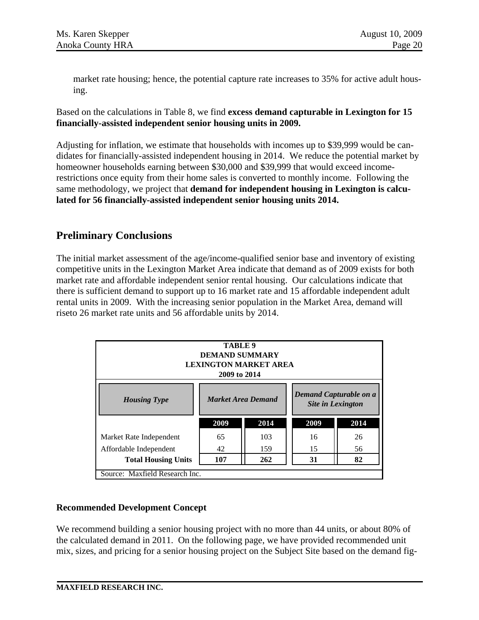market rate housing; hence, the potential capture rate increases to 35% for active adult housing.

Based on the calculations in Table 8, we find **excess demand capturable in Lexington for 15 financially-assisted independent senior housing units in 2009.** 

Adjusting for inflation, we estimate that households with incomes up to \$39,999 would be candidates for financially-assisted independent housing in 2014. We reduce the potential market by homeowner households earning between \$30,000 and \$39,999 that would exceed incomerestrictions once equity from their home sales is converted to monthly income. Following the same methodology*,* we project that **demand for independent housing in Lexington is calculated for 56 financially-assisted independent senior housing units 2014.** 

# **Preliminary Conclusions**

The initial market assessment of the age/income-qualified senior base and inventory of existing competitive units in the Lexington Market Area indicate that demand as of 2009 exists for both market rate and affordable independent senior rental housing. Our calculations indicate that there is sufficient demand to support up to 16 market rate and 15 affordable independent adult rental units in 2009. With the increasing senior population in the Market Area, demand will riseto 26 market rate units and 56 affordable units by 2014.

| TABLE 9<br><b>DEMAND SUMMARY</b><br><b>LEXINGTON MARKET AREA</b><br>2009 to 2014                       |      |      |      |      |  |  |  |  |
|--------------------------------------------------------------------------------------------------------|------|------|------|------|--|--|--|--|
| Demand Capturable on a<br><b>Market Area Demand</b><br><b>Housing Type</b><br><b>Site in Lexington</b> |      |      |      |      |  |  |  |  |
|                                                                                                        | 2009 | 2014 | 2009 | 2014 |  |  |  |  |
| Market Rate Independent                                                                                | 65   | 103  | 16   | 26   |  |  |  |  |
| Affordable Independent                                                                                 | 42   | 159  | 15   | 56   |  |  |  |  |
| 107<br>82<br>262<br>31<br><b>Total Housing Units</b>                                                   |      |      |      |      |  |  |  |  |
| Source: Maxfield Research Inc.                                                                         |      |      |      |      |  |  |  |  |

### **Recommended Development Concept**

We recommend building a senior housing project with no more than 44 units, or about 80% of the calculated demand in 2011. On the following page, we have provided recommended unit mix, sizes, and pricing for a senior housing project on the Subject Site based on the demand fig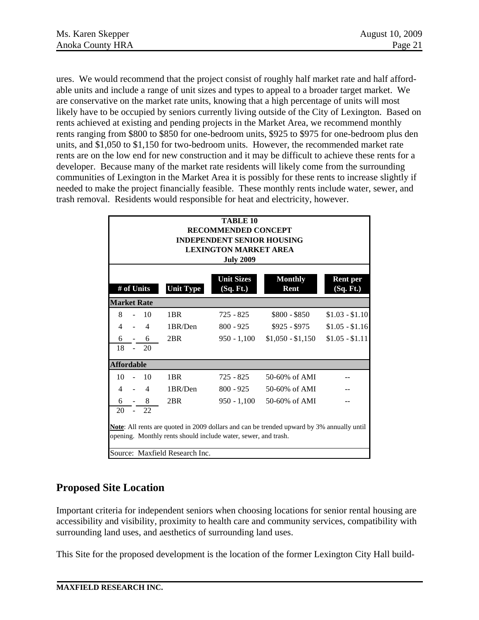ures. We would recommend that the project consist of roughly half market rate and half affordable units and include a range of unit sizes and types to appeal to a broader target market. We are conservative on the market rate units, knowing that a high percentage of units will most likely have to be occupied by seniors currently living outside of the City of Lexington. Based on rents achieved at existing and pending projects in the Market Area, we recommend monthly rents ranging from \$800 to \$850 for one-bedroom units, \$925 to \$975 for one-bedroom plus den units, and \$1,050 to \$1,150 for two-bedroom units. However, the recommended market rate rents are on the low end for new construction and it may be difficult to achieve these rents for a developer. Because many of the market rate residents will likely come from the surrounding communities of Lexington in the Market Area it is possibly for these rents to increase slightly if needed to make the project financially feasible. These monthly rents include water, sewer, and trash removal. Residents would responsible for heat and electricity, however.

| TABLE <sub>10</sub><br><b>RECOMMENDED CONCEPT</b><br><b>INDEPENDENT SENIOR HOUSING</b><br><b>LEXINGTON MARKET AREA</b><br><b>July 2009</b> |                                                                                                                                                                                                      |                |                  |                                |                               |                              |  |  |  |
|--------------------------------------------------------------------------------------------------------------------------------------------|------------------------------------------------------------------------------------------------------------------------------------------------------------------------------------------------------|----------------|------------------|--------------------------------|-------------------------------|------------------------------|--|--|--|
|                                                                                                                                            |                                                                                                                                                                                                      | # of Units     | <b>Unit Type</b> | <b>Unit Sizes</b><br>(Sq. Ft.) | <b>Monthly</b><br><b>Rent</b> | <b>Rent per</b><br>(Sq. Ft.) |  |  |  |
| <b>Market Rate</b>                                                                                                                         |                                                                                                                                                                                                      |                |                  |                                |                               |                              |  |  |  |
| 8                                                                                                                                          |                                                                                                                                                                                                      | 10             | 1BR              | 725 - 825                      | $$800 - $850$                 | $$1.03 - $1.10$              |  |  |  |
| $\overline{\mathcal{L}}$                                                                                                                   |                                                                                                                                                                                                      | 4              | 1BR/Den          | $800 - 925$                    | $$925 - $975$                 | $$1.05 - $1.16$              |  |  |  |
| 6                                                                                                                                          |                                                                                                                                                                                                      | 6              | 2BR              | $950 - 1,100$                  | $$1,050 - $1,150$             | $$1.05 - $1.11$              |  |  |  |
| 18                                                                                                                                         |                                                                                                                                                                                                      | 20             |                  |                                |                               |                              |  |  |  |
| <b>Affordable</b>                                                                                                                          |                                                                                                                                                                                                      |                |                  |                                |                               |                              |  |  |  |
| 10                                                                                                                                         | ÷,                                                                                                                                                                                                   | 10             | 1 <sub>BR</sub>  | $725 - 825$                    | 50-60% of AMI                 |                              |  |  |  |
| $\overline{4}$                                                                                                                             | $\overline{a}$                                                                                                                                                                                       | $\overline{4}$ | 1BR/Den          | $800 - 925$                    | 50-60% of AMI                 |                              |  |  |  |
| 6                                                                                                                                          |                                                                                                                                                                                                      | 8              | 2BR              | $950 - 1,100$                  | 50-60% of AMI                 |                              |  |  |  |
| 20                                                                                                                                         |                                                                                                                                                                                                      | 22             |                  |                                |                               |                              |  |  |  |
|                                                                                                                                            | <b>Note:</b> All rents are quoted in 2009 dollars and can be trended upward by 3% annually until<br>opening. Monthly rents should include water, sewer, and trash.<br>Source: Maxfield Research Inc. |                |                  |                                |                               |                              |  |  |  |

# **Proposed Site Location**

Important criteria for independent seniors when choosing locations for senior rental housing are accessibility and visibility, proximity to health care and community services, compatibility with surrounding land uses, and aesthetics of surrounding land uses.

This Site for the proposed development is the location of the former Lexington City Hall build-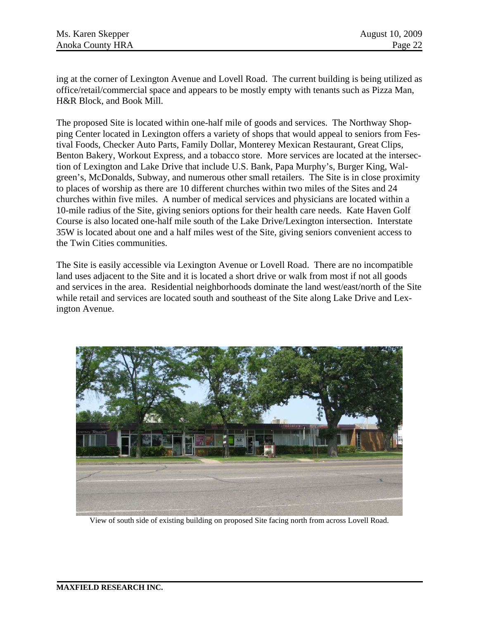ing at the corner of Lexington Avenue and Lovell Road. The current building is being utilized as office/retail/commercial space and appears to be mostly empty with tenants such as Pizza Man, H&R Block, and Book Mill.

The proposed Site is located within one-half mile of goods and services. The Northway Shopping Center located in Lexington offers a variety of shops that would appeal to seniors from Festival Foods, Checker Auto Parts, Family Dollar, Monterey Mexican Restaurant, Great Clips, Benton Bakery, Workout Express, and a tobacco store. More services are located at the intersection of Lexington and Lake Drive that include U.S. Bank, Papa Murphy's, Burger King, Walgreen's, McDonalds, Subway, and numerous other small retailers. The Site is in close proximity to places of worship as there are 10 different churches within two miles of the Sites and 24 churches within five miles. A number of medical services and physicians are located within a 10-mile radius of the Site, giving seniors options for their health care needs. Kate Haven Golf Course is also located one-half mile south of the Lake Drive/Lexington intersection. Interstate 35W is located about one and a half miles west of the Site, giving seniors convenient access to the Twin Cities communities.

The Site is easily accessible via Lexington Avenue or Lovell Road. There are no incompatible land uses adjacent to the Site and it is located a short drive or walk from most if not all goods and services in the area. Residential neighborhoods dominate the land west/east/north of the Site while retail and services are located south and southeast of the Site along Lake Drive and Lexington Avenue.



View of south side of existing building on proposed Site facing north from across Lovell Road.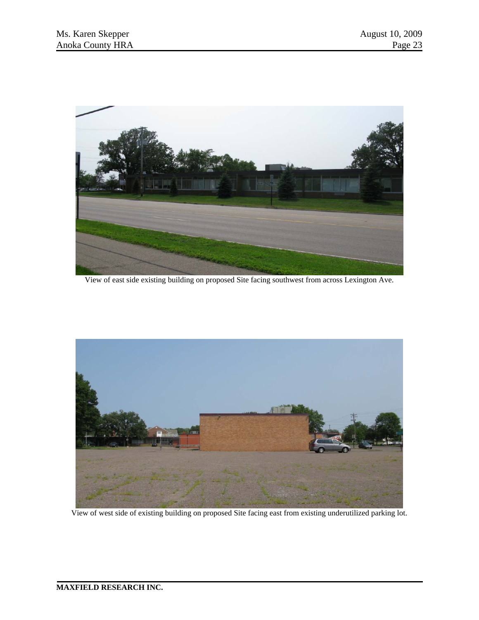

View of east side existing building on proposed Site facing southwest from across Lexington Ave.



View of west side of existing building on proposed Site facing east from existing underutilized parking lot.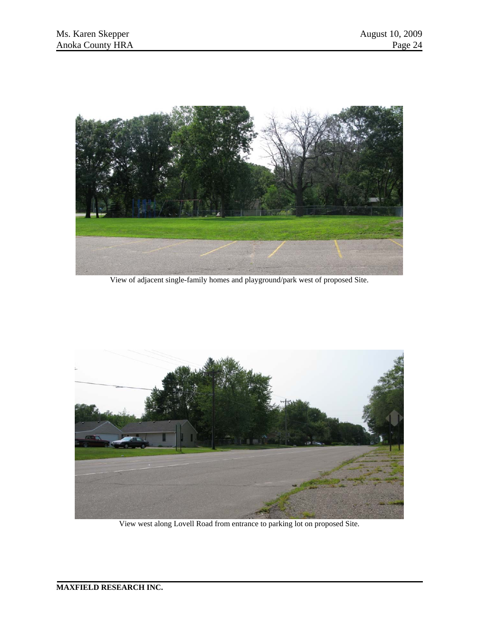

View of adjacent single-family homes and playground/park west of proposed Site.



View west along Lovell Road from entrance to parking lot on proposed Site.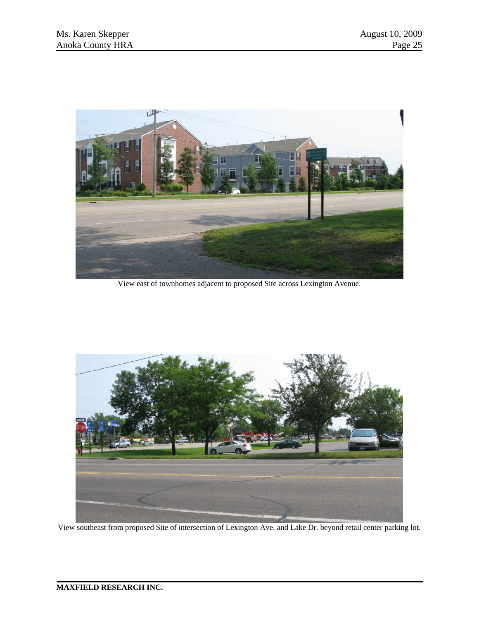

View east of townhomes adjacent to proposed Site across Lexington Avenue.



View southeast from proposed Site of intersection of Lexington Ave. and Lake Dr. beyond retail center parking lot.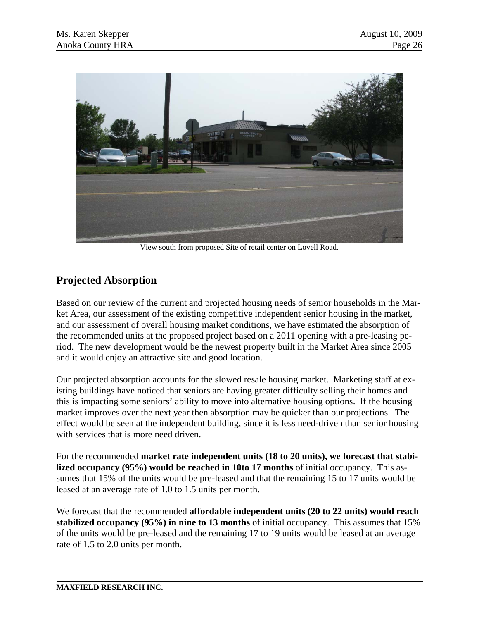

View south from proposed Site of retail center on Lovell Road.

# **Projected Absorption**

Based on our review of the current and projected housing needs of senior households in the Market Area, our assessment of the existing competitive independent senior housing in the market, and our assessment of overall housing market conditions, we have estimated the absorption of the recommended units at the proposed project based on a 2011 opening with a pre-leasing period. The new development would be the newest property built in the Market Area since 2005 and it would enjoy an attractive site and good location.

Our projected absorption accounts for the slowed resale housing market. Marketing staff at existing buildings have noticed that seniors are having greater difficulty selling their homes and this is impacting some seniors' ability to move into alternative housing options. If the housing market improves over the next year then absorption may be quicker than our projections. The effect would be seen at the independent building, since it is less need-driven than senior housing with services that is more need driven.

For the recommended **market rate independent units (18 to 20 units), we forecast that stabilized occupancy (95%) would be reached in 10to 17 months** of initial occupancy. This assumes that 15% of the units would be pre-leased and that the remaining 15 to 17 units would be leased at an average rate of 1.0 to 1.5 units per month.

We forecast that the recommended **affordable independent units (20 to 22 units) would reach stabilized occupancy (95%) in nine to 13 months** of initial occupancy. This assumes that 15% of the units would be pre-leased and the remaining 17 to 19 units would be leased at an average rate of 1.5 to 2.0 units per month.